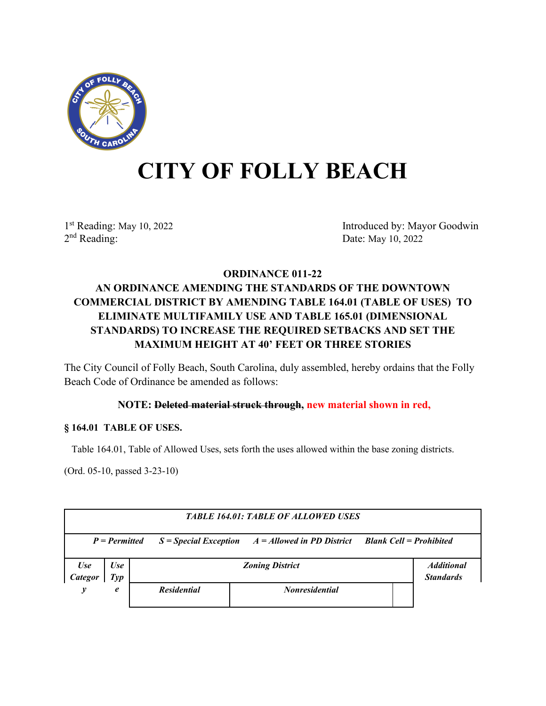

# **CITY OF FOLLY BEACH**

1st Reading: May 10, 2022<br>
2<sup>nd</sup> Reading: Date: May 10, 2022<br>
Date: May 10, 2022 Date: May 10, 2022

## **ORDINANCE 011-22 AN ORDINANCE AMENDING THE STANDARDS OF THE DOWNTOWN COMMERCIAL DISTRICT BY AMENDING TABLE 164.01 (TABLE OF USES) TO ELIMINATE MULTIFAMILY USE AND TABLE 165.01 (DIMENSIONAL STANDARDS) TO INCREASE THE REQUIRED SETBACKS AND SET THE MAXIMUM HEIGHT AT 40' FEET OR THREE STORIES**

The City Council of Folly Beach, South Carolina, duly assembled, hereby ordains that the Folly Beach Code of Ordinance be amended as follows:

### **NOTE: Deleted material struck through, new material shown in red,**

#### **§ 164.01 TABLE OF USES.**

Table 164.01, Table of Allowed Uses, sets forth the uses allowed within the base zoning districts.

(Ord. 05-10, passed 3-23-10)

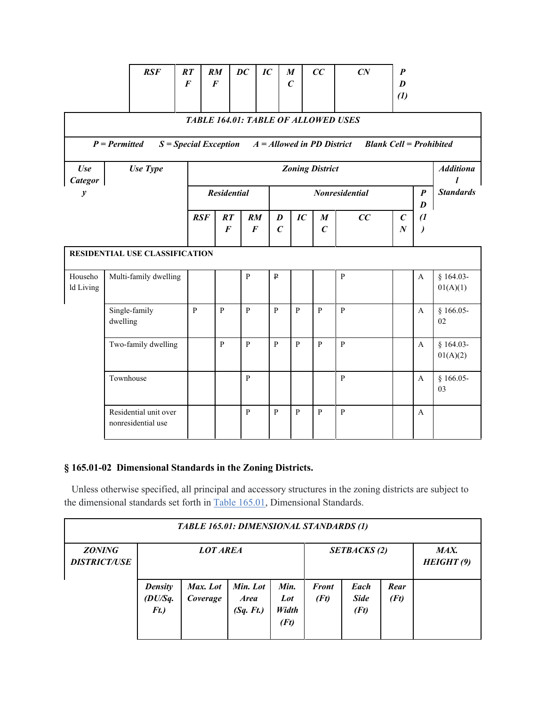| RSF<br>DC<br>IC<br>CC<br>$\overline{CN}$<br>RT<br>RM<br>M<br>$\boldsymbol{P}$<br>$\boldsymbol{F}$<br>$\boldsymbol{F}$<br>$\mathcal{C}_{0}^{(n)}$<br>D<br>$\left(1\right)$<br><b>TABLE 164.01: TABLE OF ALLOWED USES</b><br>$P = Permitted$<br>$S = Special Exception$<br>$A =$ Allowed in PD District Blank Cell = Prohibited |                                             |                |                                             |                |              |                                      |                |                                      |                  |                                      |                             |                         |
|-------------------------------------------------------------------------------------------------------------------------------------------------------------------------------------------------------------------------------------------------------------------------------------------------------------------------------|---------------------------------------------|----------------|---------------------------------------------|----------------|--------------|--------------------------------------|----------------|--------------------------------------|------------------|--------------------------------------|-----------------------------|-------------------------|
| <b>Use</b><br>Use Type<br><b>Zoning District</b><br>Categor                                                                                                                                                                                                                                                                   |                                             |                |                                             |                |              |                                      |                |                                      | <b>Additiona</b> |                                      |                             |                         |
| $\boldsymbol{y}$                                                                                                                                                                                                                                                                                                              |                                             |                | <b>Residential</b><br><b>Nonresidential</b> |                |              |                                      |                |                                      |                  | $\boldsymbol{P}$<br>$\boldsymbol{D}$ | <b>Standards</b>            |                         |
|                                                                                                                                                                                                                                                                                                                               |                                             | RSF            | RT<br>$\boldsymbol{F}$                      | $\bm{F}$       | RM           | $\boldsymbol{D}$<br>$\boldsymbol{C}$ | IC             | $\boldsymbol{M}$<br>$\boldsymbol{C}$ | CC               | $\boldsymbol{C}$<br>$\boldsymbol{N}$ | $\overline{a}$<br>$\lambda$ |                         |
| RESIDENTIAL USE CLASSIFICATION                                                                                                                                                                                                                                                                                                |                                             |                |                                             |                |              |                                      |                |                                      |                  |                                      |                             |                         |
| Househo<br>ld Living                                                                                                                                                                                                                                                                                                          | Multi-family dwelling                       |                |                                             | ${\bf P}$      |              | $\, {\bf p}$                         |                |                                      | $\, {\bf p}$     |                                      | $\mathbf{A}$                | $§ 164.03-$<br>01(A)(1) |
|                                                                                                                                                                                                                                                                                                                               | Single-family<br>dwelling                   | $\overline{P}$ | $\overline{P}$                              | $\overline{P}$ | $\mathbf{P}$ |                                      | $\overline{P}$ | $\overline{P}$                       | $\overline{P}$   |                                      | $\mathbf{A}$                | $§ 166.05-$<br>02       |
|                                                                                                                                                                                                                                                                                                                               | Two-family dwelling                         |                | ${\bf P}$                                   | $\mathbf{P}$   | $\mathbf{P}$ |                                      | $\mathbf{p}$   | $\, {\bf p}$                         | $\mathbf{P}$     |                                      | $\mathbf{A}$                | $§ 164.03-$<br>01(A)(2) |
|                                                                                                                                                                                                                                                                                                                               | Townhouse                                   |                |                                             | $\, {\bf p}$   |              |                                      |                |                                      | $\, {\bf p}$     |                                      | $\mathbf{A}$                | $§ 166.05-$<br>03       |
|                                                                                                                                                                                                                                                                                                                               | Residential unit over<br>nonresidential use |                |                                             | $\mathbf{P}$   |              | $\mathbf{P}$                         | $\mathbf{P}$   | ${\bf P}$                            | $\, {\bf p}$     |                                      | $\mathbf{A}$                |                         |

## **§ 165.01-02 Dimensional Standards in the Zoning Districts.**

 Unless otherwise specified, all principal and accessory structures in the zoning districts are subject to the dimensional standards set forth in [Table 165.01,](https://codelibrary.amlegal.com/codes/follybeach/latest/follyb_sc/0-0-0-31825#JD_Table165.01) Dimensional Standards.

| TABLE 165.01: DIMENSIONAL STANDARDS (1) |                                      |                      |                                      |                              |                      |                             |                    |  |  |  |
|-----------------------------------------|--------------------------------------|----------------------|--------------------------------------|------------------------------|----------------------|-----------------------------|--------------------|--|--|--|
| <b>ZONING</b><br><b>DISTRICT/USE</b>    |                                      | <b>LOT AREA</b>      |                                      |                              |                      | <b>SETBACKS</b> (2)         | MAX.<br>HEIGHT (9) |  |  |  |
|                                         | <b>Density</b><br>(DU/Sq.<br>$F_{t}$ | Max. Lot<br>Coverage | Min. Lot<br><i>Area</i><br>(Sq. Ft.) | Min.<br>Lot<br>Width<br>(Ft) | <b>Front</b><br>(Ft) | Each<br><b>Side</b><br>(Ft) | Rear<br>(Ft)       |  |  |  |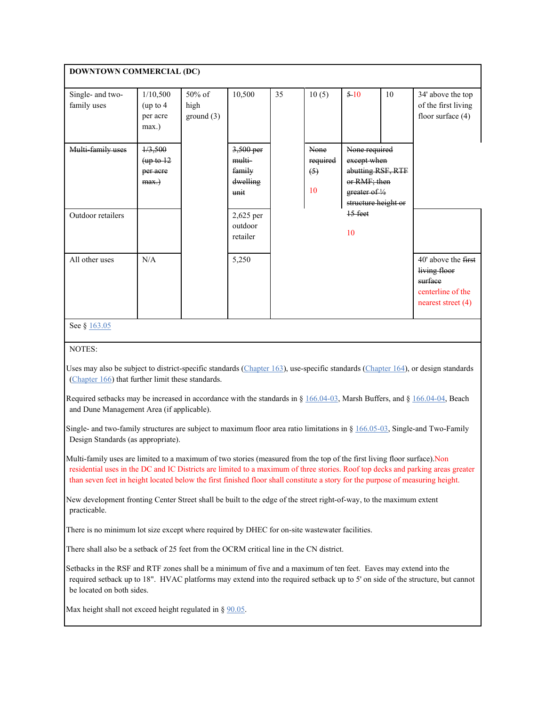| <b>DOWNTOWN COMMERCIAL (DC)</b>                                                                                                                                                                                                                                                                                                                                                              |                                               |                             |                                                   |                                                                                                                                             |       |                 |    |                                                                                           |  |
|----------------------------------------------------------------------------------------------------------------------------------------------------------------------------------------------------------------------------------------------------------------------------------------------------------------------------------------------------------------------------------------------|-----------------------------------------------|-----------------------------|---------------------------------------------------|---------------------------------------------------------------------------------------------------------------------------------------------|-------|-----------------|----|-------------------------------------------------------------------------------------------|--|
| Single- and two-<br>family uses                                                                                                                                                                                                                                                                                                                                                              | 1/10,500<br>(up to 4<br>per acre<br>max.)     | 50% of<br>high<br>ground(3) | 10,500                                            | 35                                                                                                                                          | 10(5) | 510             | 10 | 34' above the top<br>of the first living<br>floor surface $(4)$                           |  |
| Multi-family uses                                                                                                                                                                                                                                                                                                                                                                            | 1/3,500<br>(up to 12)<br>per acre<br>$max.$ ) |                             | 3,500 per<br>multi-<br>family<br>dwelling<br>unit | None<br>None required<br>required<br>except when<br>abutting RSF, RTF<br>(5)<br>or RMF; then<br>10<br>greater of 1/2<br>structure height or |       |                 |    |                                                                                           |  |
| Outdoor retailers                                                                                                                                                                                                                                                                                                                                                                            |                                               |                             | 2,625 per<br>outdoor<br>retailer                  |                                                                                                                                             |       | $15$ feet<br>10 |    |                                                                                           |  |
| All other uses                                                                                                                                                                                                                                                                                                                                                                               | N/A                                           |                             | 5,250                                             |                                                                                                                                             |       |                 |    | 40' above the first<br>living floor<br>surface<br>centerline of the<br>nearest street (4) |  |
| See § 163.05                                                                                                                                                                                                                                                                                                                                                                                 |                                               |                             |                                                   |                                                                                                                                             |       |                 |    |                                                                                           |  |
| NOTES:                                                                                                                                                                                                                                                                                                                                                                                       |                                               |                             |                                                   |                                                                                                                                             |       |                 |    |                                                                                           |  |
| Uses may also be subject to district-specific standards (Chapter 163), use-specific standards (Chapter 164), or design standards<br>(Chapter 166) that further limit these standards.<br>Required setbacks may be increased in accordance with the standards in § $166.04-03$ , Marsh Buffers, and § 166.04-04, Beach<br>and Dune Management Area (if applicable).                           |                                               |                             |                                                   |                                                                                                                                             |       |                 |    |                                                                                           |  |
| Single- and two-family structures are subject to maximum floor area ratio limitations in $\S 166.05-03$ , Single-and Two-Family<br>Design Standards (as appropriate).                                                                                                                                                                                                                        |                                               |                             |                                                   |                                                                                                                                             |       |                 |    |                                                                                           |  |
| Multi-family uses are limited to a maximum of two stories (measured from the top of the first living floor surface).Non<br>residential uses in the DC and IC Districts are limited to a maximum of three stories. Roof top decks and parking areas greater<br>than seven feet in height located below the first finished floor shall constitute a story for the purpose of measuring height. |                                               |                             |                                                   |                                                                                                                                             |       |                 |    |                                                                                           |  |

 New development fronting Center Street shall be built to the edge of the street right-of-way, to the maximum extent practicable.

There is no minimum lot size except where required by DHEC for on-site wastewater facilities.

There shall also be a setback of 25 feet from the OCRM critical line in the CN district.

 Setbacks in the RSF and RTF zones shall be a minimum of five and a maximum of ten feet. Eaves may extend into the required setback up to 18". HVAC platforms may extend into the required setback up to 5' on side of the structure, but cannot be located on both sides.

Max height shall not exceed height regulated in  $\S$  [90.05.](https://codelibrary.amlegal.com/codes/follybeach/latest/follyb_sc/0-0-0-34064#JD_90.05)